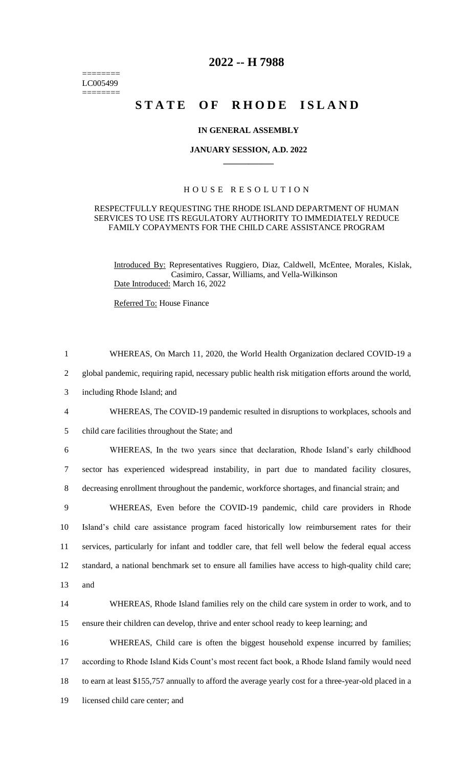======== LC005499  $=$ 

## **2022 -- H 7988**

# **STATE OF RHODE ISLAND**

#### **IN GENERAL ASSEMBLY**

#### **JANUARY SESSION, A.D. 2022 \_\_\_\_\_\_\_\_\_\_\_\_**

### H O U S E R E S O L U T I O N

#### RESPECTFULLY REQUESTING THE RHODE ISLAND DEPARTMENT OF HUMAN SERVICES TO USE ITS REGULATORY AUTHORITY TO IMMEDIATELY REDUCE FAMILY COPAYMENTS FOR THE CHILD CARE ASSISTANCE PROGRAM

Introduced By: Representatives Ruggiero, Diaz, Caldwell, McEntee, Morales, Kislak, Casimiro, Cassar, Williams, and Vella-Wilkinson Date Introduced: March 16, 2022

Referred To: House Finance

| $\mathbf{1}$   | WHEREAS, On March 11, 2020, the World Health Organization declared COVID-19 a                          |
|----------------|--------------------------------------------------------------------------------------------------------|
| $\overline{2}$ | global pandemic, requiring rapid, necessary public health risk mitigation efforts around the world,    |
| 3              | including Rhode Island; and                                                                            |
| $\overline{4}$ | WHEREAS, The COVID-19 pandemic resulted in disruptions to workplaces, schools and                      |
| 5              | child care facilities throughout the State; and                                                        |
| 6              | WHEREAS, In the two years since that declaration, Rhode Island's early childhood                       |
| $\tau$         | sector has experienced widespread instability, in part due to mandated facility closures,              |
| $8\,$          | decreasing enrollment throughout the pandemic, workforce shortages, and financial strain; and          |
| 9              | WHEREAS, Even before the COVID-19 pandemic, child care providers in Rhode                              |
| 10             | Island's child care assistance program faced historically low reimbursement rates for their            |
| 11             | services, particularly for infant and toddler care, that fell well below the federal equal access      |
| 12             | standard, a national benchmark set to ensure all families have access to high-quality child care;      |
| 13             | and                                                                                                    |
| 14             | WHEREAS, Rhode Island families rely on the child care system in order to work, and to                  |
| 15             | ensure their children can develop, thrive and enter school ready to keep learning; and                 |
| 16             | WHEREAS, Child care is often the biggest household expense incurred by families;                       |
| 17             | according to Rhode Island Kids Count's most recent fact book, a Rhode Island family would need         |
| 18             | to earn at least \$155,757 annually to afford the average yearly cost for a three-year-old placed in a |
| 19             | licensed child care center; and                                                                        |